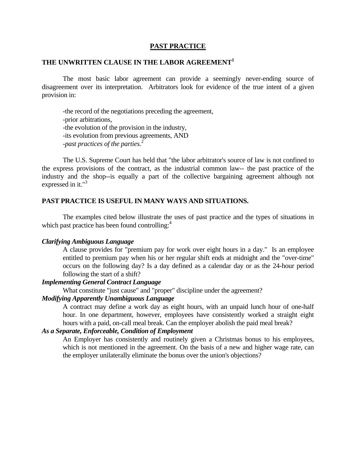### **PAST PRACTICE**

# **THE UNWRITTEN CLAUSE IN THE LABOR AGREEMENT<sup>1</sup>**

 The most basic labor agreement can provide a seemingly never-ending source of disagreement over its interpretation. Arbitrators look for evidence of the true intent of a given provision in:

 -the record of the negotiations preceding the agreement, -prior arbitrations, -the evolution of the provision in the industry, -its evolution from previous agreements, AND -*past practices of the parties*. 2

 The U.S. Supreme Court has held that "the labor arbitrator's source of law is not confined to the express provisions of the contract, as the industrial common law-- the past practice of the industry and the shop--is equally a part of the collective bargaining agreement although not expressed in it."<sup>3</sup>

### **PAST PRACTICE IS USEFUL IN MANY WAYS AND SITUATIONS.**

 The examples cited below illustrate the uses of past practice and the types of situations in which past practice has been found controlling:<sup>4</sup>

#### *Clarifying Ambiguous Language*

 A clause provides for "premium pay for work over eight hours in a day." Is an employee entitled to premium pay when his or her regular shift ends at midnight and the "over-time" occurs on the following day? Is a day defined as a calendar day or as the 24-hour period following the start of a shift?

# *Implementing General Contract Language*

What constitute "just cause" and "proper" discipline under the agreement?

# *Modifying Apparently Unambiguous Language*

A contract may define a work day as eight hours, with an unpaid lunch hour of one-half hour. In one department, however, employees have consistently worked a straight eight hours with a paid, on-call meal break. Can the employer abolish the paid meal break?

### *As a Separate, Enforceable, Condition of Employment*

 An Employer has consistently and routinely given a Christmas bonus to his employees, which is not mentioned in the agreement. On the basis of a new and higher wage rate, can the employer unilaterally eliminate the bonus over the union's objections?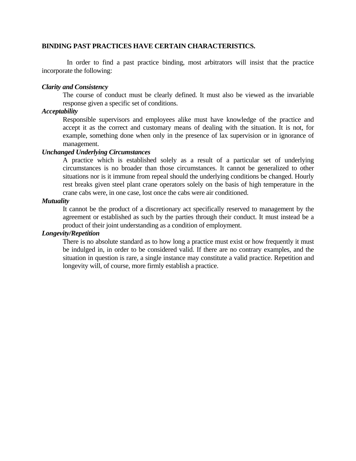## **BINDING PAST PRACTICES HAVE CERTAIN CHARACTERISTICS.**

 In order to find a past practice binding, most arbitrators will insist that the practice incorporate the following:

## *Clarity and Consistency*

 The course of conduct must be clearly defined. It must also be viewed as the invariable response given a specific set of conditions.

## *Acceptability*

 Responsible supervisors and employees alike must have knowledge of the practice and accept it as the correct and customary means of dealing with the situation. It is not, for example, something done when only in the presence of lax supervision or in ignorance of management.

# *Unchanged Underlying Circumstances*

 A practice which is established solely as a result of a particular set of underlying circumstances is no broader than those circumstances. It cannot be generalized to other situations nor is it immune from repeal should the underlying conditions be changed. Hourly rest breaks given steel plant crane operators solely on the basis of high temperature in the crane cabs were, in one case, lost once the cabs were air conditioned.

## *Mutuality*

 It cannot be the product of a discretionary act specifically reserved to management by the agreement or established as such by the parties through their conduct. It must instead be a product of their joint understanding as a condition of employment.

# *Longevity/Repetition*

 There is no absolute standard as to how long a practice must exist or how frequently it must be indulged in, in order to be considered valid. If there are no contrary examples, and the situation in question is rare, a single instance may constitute a valid practice. Repetition and longevity will, of course, more firmly establish a practice.